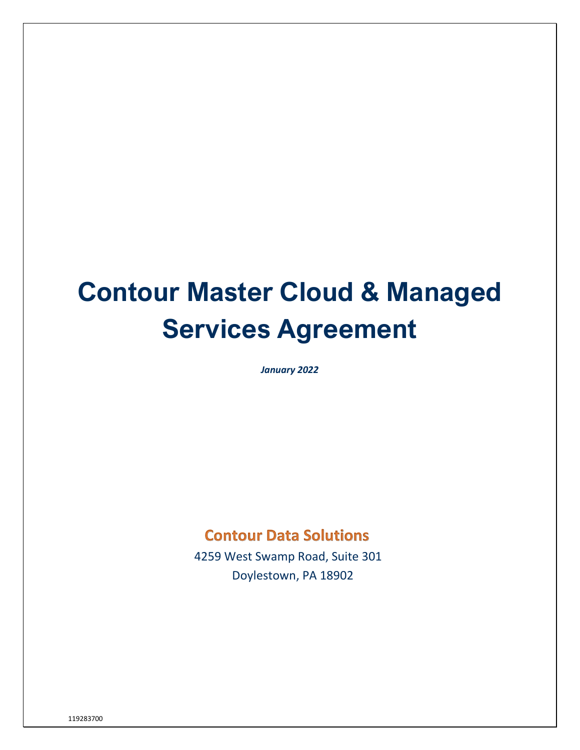# **Contour Master Cloud & Managed Services Agreement**

*January 2022*

# **Contour Data Solutions**

 4259 West Swamp Road, Suite 301 Doylestown, PA 18902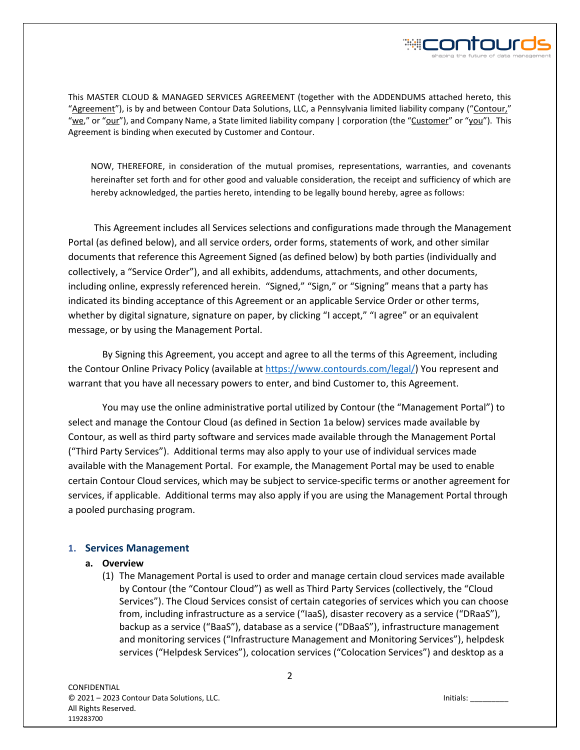

This MASTER CLOUD & MANAGED SERVICES AGREEMENT (together with the ADDENDUMS attached hereto, this "Agreement"), is by and between Contour Data Solutions, LLC, a Pennsylvania limited liability company ("Contour," "we," or "our"), and Company Name, a State limited liability company | corporation (the "Customer" or "you"). This Agreement is binding when executed by Customer and Contour.

NOW, THEREFORE, in consideration of the mutual promises, representations, warranties, and covenants hereinafter set forth and for other good and valuable consideration, the receipt and sufficiency of which are hereby acknowledged, the parties hereto, intending to be legally bound hereby, agree as follows:

This Agreement includes all Services selections and configurations made through the Management Portal (as defined below), and all service orders, order forms, statements of work, and other similar documents that reference this Agreement Signed (as defined below) by both parties (individually and collectively, a "Service Order"), and all exhibits, addendums, attachments, and other documents, including online, expressly referenced herein. "Signed," "Sign," or "Signing" means that a party has indicated its binding acceptance of this Agreement or an applicable Service Order or other terms, whether by digital signature, signature on paper, by clicking "I accept," "I agree" or an equivalent message, or by using the Management Portal.

By Signing this Agreement, you accept and agree to all the terms of this Agreement, including the Contour Online Privacy Policy (available at [https://www.contourds.com/legal/\)](https://www.contourds.com/legal/) You represent and warrant that you have all necessary powers to enter, and bind Customer to, this Agreement.

You may use the online administrative portal utilized by Contour (the "Management Portal") to select and manage the Contour Cloud (as defined in Section 1a below) services made available by Contour, as well as third party software and services made available through the Management Portal ("Third Party Services"). Additional terms may also apply to your use of individual services made available with the Management Portal. For example, the Management Portal may be used to enable certain Contour Cloud services, which may be subject to service-specific terms or another agreement for services, if applicable. Additional terms may also apply if you are using the Management Portal through a pooled purchasing program.

#### **1. Services Management**

#### **a. Overview**

(1) The Management Portal is used to order and manage certain cloud services made available by Contour (the "Contour Cloud") as well as Third Party Services (collectively, the "Cloud Services"). The Cloud Services consist of certain categories of services which you can choose from, including infrastructure as a service ("IaaS), disaster recovery as a service ("DRaaS"), backup as a service ("BaaS"), database as a service ("DBaaS"), infrastructure management and monitoring services ("Infrastructure Management and Monitoring Services"), helpdesk services ("Helpdesk Services"), colocation services ("Colocation Services") and desktop as a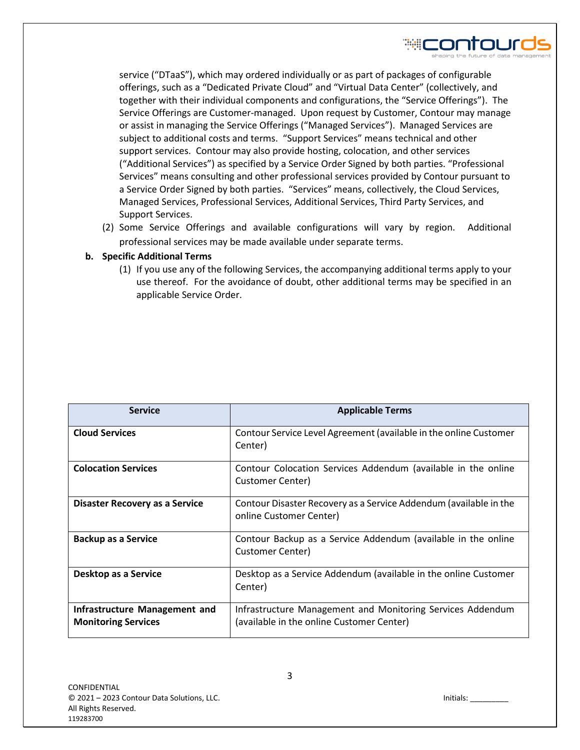

service ("DTaaS"), which may ordered individually or as part of packages of configurable offerings, such as a "Dedicated Private Cloud" and "Virtual Data Center" (collectively, and together with their individual components and configurations, the "Service Offerings"). The Service Offerings are Customer-managed. Upon request by Customer, Contour may manage or assist in managing the Service Offerings ("Managed Services"). Managed Services are subject to additional costs and terms. "Support Services" means technical and other support services. Contour may also provide hosting, colocation, and other services ("Additional Services") as specified by a Service Order Signed by both parties. "Professional Services" means consulting and other professional services provided by Contour pursuant to a Service Order Signed by both parties. "Services" means, collectively, the Cloud Services, Managed Services, Professional Services, Additional Services, Third Party Services, and Support Services.

(2) Some Service Offerings and available configurations will vary by region. Additional professional services may be made available under separate terms.

# **b. Specific Additional Terms**

(1) If you use any of the following Services, the accompanying additional terms apply to your use thereof. For the avoidance of doubt, other additional terms may be specified in an applicable Service Order.

| <b>Service</b>                                              | <b>Applicable Terms</b>                                                                                 |
|-------------------------------------------------------------|---------------------------------------------------------------------------------------------------------|
| <b>Cloud Services</b>                                       | Contour Service Level Agreement (available in the online Customer<br>Center)                            |
| <b>Colocation Services</b>                                  | Contour Colocation Services Addendum (available in the online<br>Customer Center)                       |
| Disaster Recovery as a Service                              | Contour Disaster Recovery as a Service Addendum (available in the<br>online Customer Center)            |
| <b>Backup as a Service</b>                                  | Contour Backup as a Service Addendum (available in the online<br>Customer Center)                       |
| Desktop as a Service                                        | Desktop as a Service Addendum (available in the online Customer<br>Center)                              |
| Infrastructure Management and<br><b>Monitoring Services</b> | Infrastructure Management and Monitoring Services Addendum<br>(available in the online Customer Center) |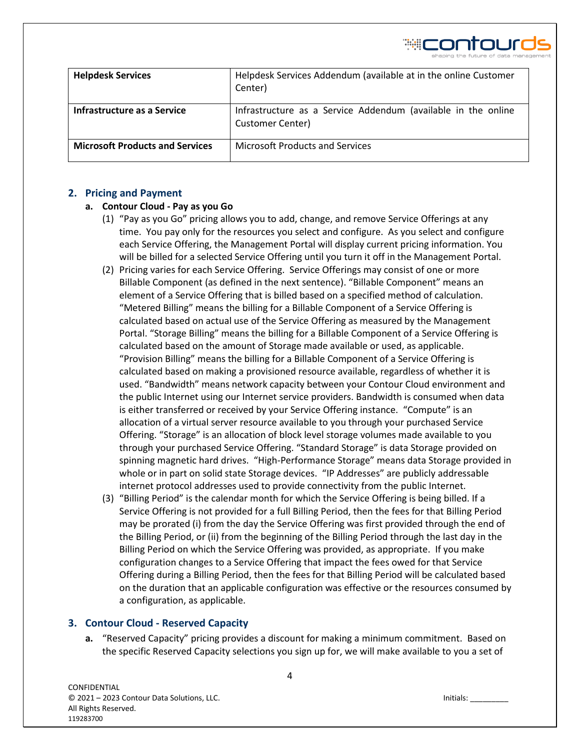₩CONTOU

| <b>Helpdesk Services</b>               | Helpdesk Services Addendum (available at in the online Customer<br>Center)        |
|----------------------------------------|-----------------------------------------------------------------------------------|
| Infrastructure as a Service            | Infrastructure as a Service Addendum (available in the online<br>Customer Center) |
| <b>Microsoft Products and Services</b> | <b>Microsoft Products and Services</b>                                            |

# **2. Pricing and Payment**

# **a. Contour Cloud - Pay as you Go**

- (1) "Pay as you Go" pricing allows you to add, change, and remove Service Offerings at any time. You pay only for the resources you select and configure. As you select and configure each Service Offering, the Management Portal will display current pricing information. You will be billed for a selected Service Offering until you turn it off in the Management Portal.
- (2) Pricing varies for each Service Offering. Service Offerings may consist of one or more Billable Component (as defined in the next sentence). "Billable Component" means an element of a Service Offering that is billed based on a specified method of calculation. "Metered Billing" means the billing for a Billable Component of a Service Offering is calculated based on actual use of the Service Offering as measured by the Management Portal. "Storage Billing" means the billing for a Billable Component of a Service Offering is calculated based on the amount of Storage made available or used, as applicable. "Provision Billing" means the billing for a Billable Component of a Service Offering is calculated based on making a provisioned resource available, regardless of whether it is used. "Bandwidth" means network capacity between your Contour Cloud environment and the public Internet using our Internet service providers. Bandwidth is consumed when data is either transferred or received by your Service Offering instance. "Compute" is an allocation of a virtual server resource available to you through your purchased Service Offering. "Storage" is an allocation of block level storage volumes made available to you through your purchased Service Offering. "Standard Storage" is data Storage provided on spinning magnetic hard drives. "High-Performance Storage" means data Storage provided in whole or in part on solid state Storage devices. "IP Addresses" are publicly addressable internet protocol addresses used to provide connectivity from the public Internet.
- (3) "Billing Period" is the calendar month for which the Service Offering is being billed. If a Service Offering is not provided for a full Billing Period, then the fees for that Billing Period may be prorated (i) from the day the Service Offering was first provided through the end of the Billing Period, or (ii) from the beginning of the Billing Period through the last day in the Billing Period on which the Service Offering was provided, as appropriate. If you make configuration changes to a Service Offering that impact the fees owed for that Service Offering during a Billing Period, then the fees for that Billing Period will be calculated based on the duration that an applicable configuration was effective or the resources consumed by a configuration, as applicable.

# **3. Contour Cloud - Reserved Capacity**

**a.** "Reserved Capacity" pricing provides a discount for making a minimum commitment. Based on the specific Reserved Capacity selections you sign up for, we will make available to you a set of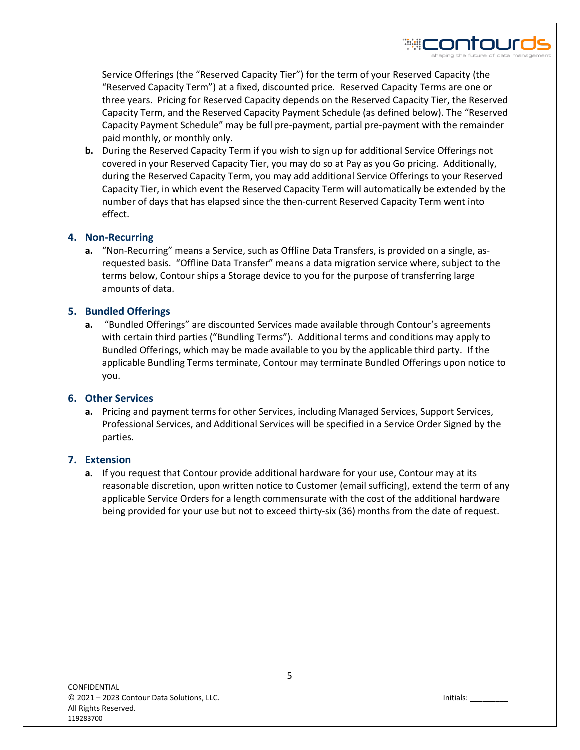Service Offerings (the "Reserved Capacity Tier") for the term of your Reserved Capacity (the "Reserved Capacity Term") at a fixed, discounted price. Reserved Capacity Terms are one or three years. Pricing for Reserved Capacity depends on the Reserved Capacity Tier, the Reserved Capacity Term, and the Reserved Capacity Payment Schedule (as defined below). The "Reserved Capacity Payment Schedule" may be full pre-payment, partial pre-payment with the remainder paid monthly, or monthly only.

**b.** During the Reserved Capacity Term if you wish to sign up for additional Service Offerings not covered in your Reserved Capacity Tier, you may do so at Pay as you Go pricing. Additionally, during the Reserved Capacity Term, you may add additional Service Offerings to your Reserved Capacity Tier, in which event the Reserved Capacity Term will automatically be extended by the number of days that has elapsed since the then-current Reserved Capacity Term went into effect.

# **4. Non-Recurring**

**a.** "Non-Recurring" means a Service, such as Offline Data Transfers, is provided on a single, asrequested basis. "Offline Data Transfer" means a data migration service where, subject to the terms below, Contour ships a Storage device to you for the purpose of transferring large amounts of data.

# **5. Bundled Offerings**

**a.** "Bundled Offerings" are discounted Services made available through Contour's agreements with certain third parties ("Bundling Terms"). Additional terms and conditions may apply to Bundled Offerings, which may be made available to you by the applicable third party. If the applicable Bundling Terms terminate, Contour may terminate Bundled Offerings upon notice to you.

# **6. Other Services**

**a.** Pricing and payment terms for other Services, including Managed Services, Support Services, Professional Services, and Additional Services will be specified in a Service Order Signed by the parties.

# **7. Extension**

**a.** If you request that Contour provide additional hardware for your use, Contour may at its reasonable discretion, upon written notice to Customer (email sufficing), extend the term of any applicable Service Orders for a length commensurate with the cost of the additional hardware being provided for your use but not to exceed thirty-six (36) months from the date of request.

₩CONTOL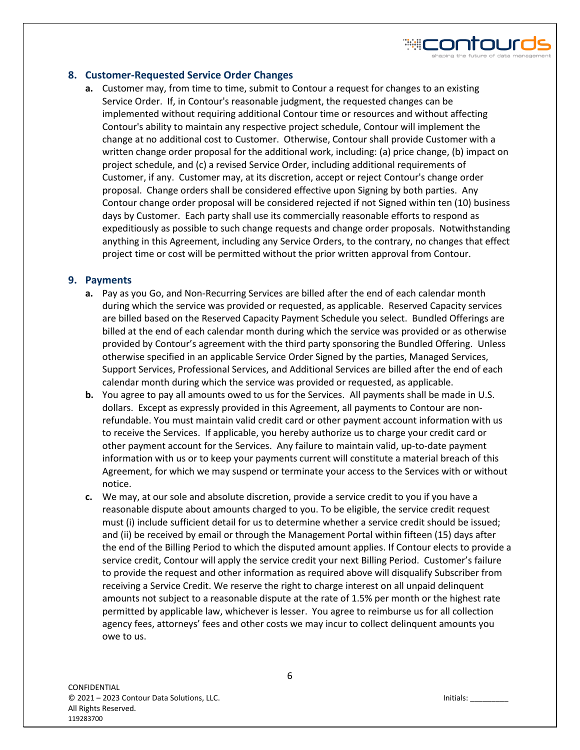# **8. Customer-Requested Service Order Changes**

**a.** Customer may, from time to time, submit to Contour a request for changes to an existing Service Order. If, in Contour's reasonable judgment, the requested changes can be implemented without requiring additional Contour time or resources and without affecting Contour's ability to maintain any respective project schedule, Contour will implement the change at no additional cost to Customer. Otherwise, Contour shall provide Customer with a written change order proposal for the additional work, including: (a) price change, (b) impact on project schedule, and (c) a revised Service Order, including additional requirements of Customer, if any. Customer may, at its discretion, accept or reject Contour's change order proposal. Change orders shall be considered effective upon Signing by both parties. Any Contour change order proposal will be considered rejected if not Signed within ten (10) business days by Customer. Each party shall use its commercially reasonable efforts to respond as expeditiously as possible to such change requests and change order proposals. Notwithstanding anything in this Agreement, including any Service Orders, to the contrary, no changes that effect project time or cost will be permitted without the prior written approval from Contour.

# **9. Payments**

- **a.** Pay as you Go, and Non-Recurring Services are billed after the end of each calendar month during which the service was provided or requested, as applicable. Reserved Capacity services are billed based on the Reserved Capacity Payment Schedule you select. Bundled Offerings are billed at the end of each calendar month during which the service was provided or as otherwise provided by Contour's agreement with the third party sponsoring the Bundled Offering. Unless otherwise specified in an applicable Service Order Signed by the parties, Managed Services, Support Services, Professional Services, and Additional Services are billed after the end of each calendar month during which the service was provided or requested, as applicable.
- **b.** You agree to pay all amounts owed to us for the Services. All payments shall be made in U.S. dollars. Except as expressly provided in this Agreement, all payments to Contour are nonrefundable. You must maintain valid credit card or other payment account information with us to receive the Services. If applicable, you hereby authorize us to charge your credit card or other payment account for the Services. Any failure to maintain valid, up-to-date payment information with us or to keep your payments current will constitute a material breach of this Agreement, for which we may suspend or terminate your access to the Services with or without notice.
- **c.** We may, at our sole and absolute discretion, provide a service credit to you if you have a reasonable dispute about amounts charged to you. To be eligible, the service credit request must (i) include sufficient detail for us to determine whether a service credit should be issued; and (ii) be received by email or through the Management Portal within fifteen (15) days after the end of the Billing Period to which the disputed amount applies. If Contour elects to provide a service credit, Contour will apply the service credit your next Billing Period. Customer's failure to provide the request and other information as required above will disqualify Subscriber from receiving a Service Credit. We reserve the right to charge interest on all unpaid delinquent amounts not subject to a reasonable dispute at the rate of 1.5% per month or the highest rate permitted by applicable law, whichever is lesser. You agree to reimburse us for all collection agency fees, attorneys' fees and other costs we may incur to collect delinquent amounts you owe to us.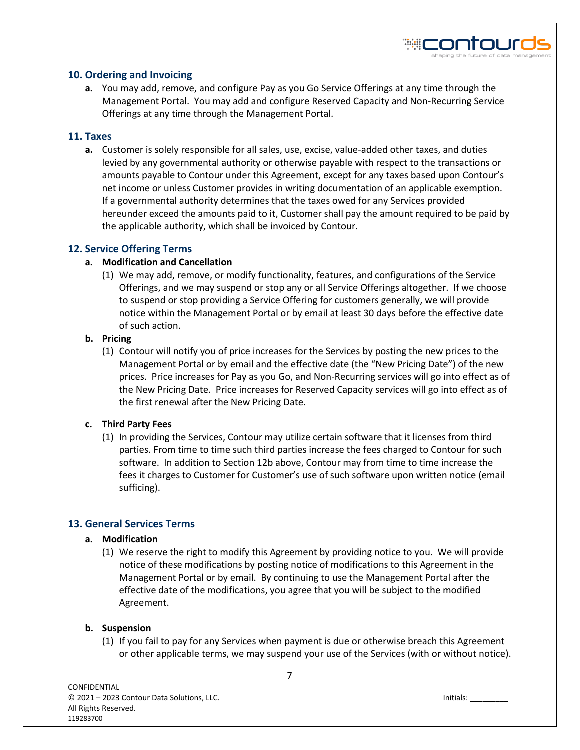

# **10. Ordering and Invoicing**

**a.** You may add, remove, and configure Pay as you Go Service Offerings at any time through the Management Portal. You may add and configure Reserved Capacity and Non-Recurring Service Offerings at any time through the Management Portal.

#### **11. Taxes**

**a.** Customer is solely responsible for all sales, use, excise, value-added other taxes, and duties levied by any governmental authority or otherwise payable with respect to the transactions or amounts payable to Contour under this Agreement, except for any taxes based upon Contour's net income or unless Customer provides in writing documentation of an applicable exemption. If a governmental authority determines that the taxes owed for any Services provided hereunder exceed the amounts paid to it, Customer shall pay the amount required to be paid by the applicable authority, which shall be invoiced by Contour.

# **12. Service Offering Terms**

#### **a. Modification and Cancellation**

(1) We may add, remove, or modify functionality, features, and configurations of the Service Offerings, and we may suspend or stop any or all Service Offerings altogether. If we choose to suspend or stop providing a Service Offering for customers generally, we will provide notice within the Management Portal or by email at least 30 days before the effective date of such action.

#### **b. Pricing**

(1) Contour will notify you of price increases for the Services by posting the new prices to the Management Portal or by email and the effective date (the "New Pricing Date") of the new prices. Price increases for Pay as you Go, and Non-Recurring services will go into effect as of the New Pricing Date. Price increases for Reserved Capacity services will go into effect as of the first renewal after the New Pricing Date.

# **c. Third Party Fees**

(1) In providing the Services, Contour may utilize certain software that it licenses from third parties. From time to time such third parties increase the fees charged to Contour for such software. In addition to Section 12b above, Contour may from time to time increase the fees it charges to Customer for Customer's use of such software upon written notice (email sufficing).

# **13. General Services Terms**

#### **a. Modification**

(1) We reserve the right to modify this Agreement by providing notice to you. We will provide notice of these modifications by posting notice of modifications to this Agreement in the Management Portal or by email. By continuing to use the Management Portal after the effective date of the modifications, you agree that you will be subject to the modified Agreement.

# **b. Suspension**

(1) If you fail to pay for any Services when payment is due or otherwise breach this Agreement or other applicable terms, we may suspend your use of the Services (with or without notice).

7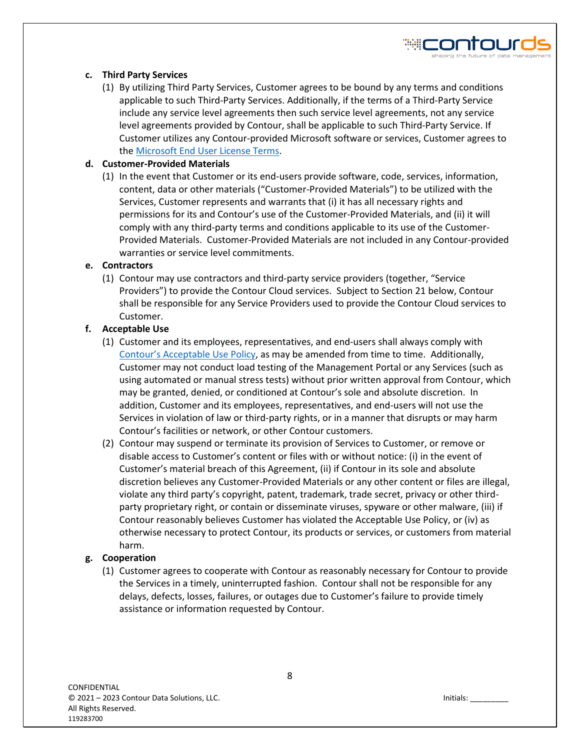# **c. Third Party Services**

(1) By utilizing Third Party Services, Customer agrees to be bound by any terms and conditions applicable to such Third-Party Services. Additionally, if the terms of a Third-Party Service include any service level agreements then such service level agreements, not any service level agreements provided by Contour, shall be applicable to such Third-Party Service. If Customer utilizes any Contour-provided Microsoft software or services, Customer agrees to th[e Microsoft End User License Terms.](https://www.contourds.com/wp-content/uploads/2018/05/microsoft_end_user_license_terms_02272017.pdf)

# **d. Customer-Provided Materials**

(1) In the event that Customer or its end-users provide software, code, services, information, content, data or other materials ("Customer-Provided Materials") to be utilized with the Services, Customer represents and warrants that (i) it has all necessary rights and permissions for its and Contour's use of the Customer-Provided Materials, and (ii) it will comply with any third-party terms and conditions applicable to its use of the Customer-Provided Materials. Customer-Provided Materials are not included in any Contour-provided warranties or service level commitments.

#### **e. Contractors**

(1) Contour may use contractors and third-party service providers (together, "Service Providers") to provide the Contour Cloud services. Subject to Section 21 below, Contour shall be responsible for any Service Providers used to provide the Contour Cloud services to Customer.

# **f. Acceptable Use**

- (1) Customer and its employees, representatives, and end-users shall always comply with [Contour's Acceptable Use Policy](https://www.contourds.com/wp-content/uploads/2018/05/acceptable_use_policy.pdf), as may be amended from time to time. Additionally, Customer may not conduct load testing of the Management Portal or any Services (such as using automated or manual stress tests) without prior written approval from Contour, which may be granted, denied, or conditioned at Contour's sole and absolute discretion. In addition, Customer and its employees, representatives, and end-users will not use the Services in violation of law or third-party rights, or in a manner that disrupts or may harm Contour's facilities or network, or other Contour customers.
- (2) Contour may suspend or terminate its provision of Services to Customer, or remove or disable access to Customer's content or files with or without notice: (i) in the event of Customer's material breach of this Agreement, (ii) if Contour in its sole and absolute discretion believes any Customer-Provided Materials or any other content or files are illegal, violate any third party's copyright, patent, trademark, trade secret, privacy or other thirdparty proprietary right, or contain or disseminate viruses, spyware or other malware, (iii) if Contour reasonably believes Customer has violated the Acceptable Use Policy, or (iv) as otherwise necessary to protect Contour, its products or services, or customers from material harm.

# **g. Cooperation**

(1) Customer agrees to cooperate with Contour as reasonably necessary for Contour to provide the Services in a timely, uninterrupted fashion. Contour shall not be responsible for any delays, defects, losses, failures, or outages due to Customer's failure to provide timely assistance or information requested by Contour.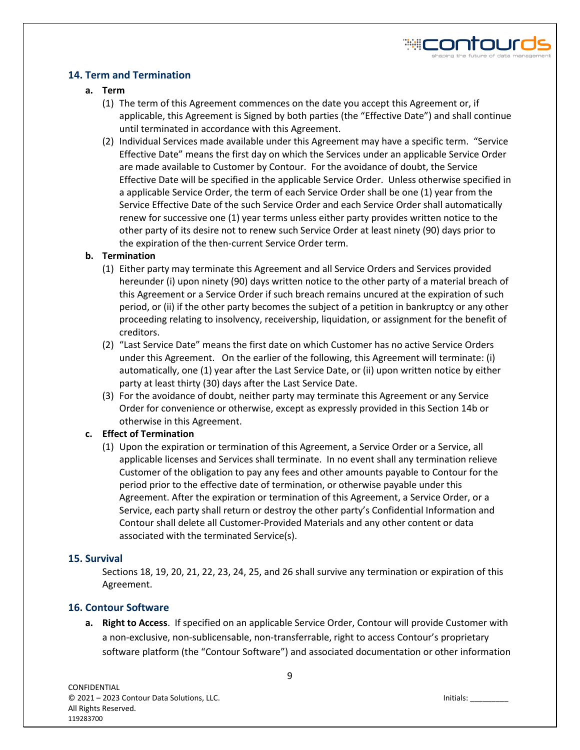# **14. Term and Termination**

# **a. Term**

- (1) The term of this Agreement commences on the date you accept this Agreement or, if applicable, this Agreement is Signed by both parties (the "Effective Date") and shall continue until terminated in accordance with this Agreement.
- (2) Individual Services made available under this Agreement may have a specific term. "Service Effective Date" means the first day on which the Services under an applicable Service Order are made available to Customer by Contour. For the avoidance of doubt, the Service Effective Date will be specified in the applicable Service Order. Unless otherwise specified in a applicable Service Order, the term of each Service Order shall be one (1) year from the Service Effective Date of the such Service Order and each Service Order shall automatically renew for successive one (1) year terms unless either party provides written notice to the other party of its desire not to renew such Service Order at least ninety (90) days prior to the expiration of the then-current Service Order term.

# **b. Termination**

- (1) Either party may terminate this Agreement and all Service Orders and Services provided hereunder (i) upon ninety (90) days written notice to the other party of a material breach of this Agreement or a Service Order if such breach remains uncured at the expiration of such period, or (ii) if the other party becomes the subject of a petition in bankruptcy or any other proceeding relating to insolvency, receivership, liquidation, or assignment for the benefit of creditors.
- (2) "Last Service Date" means the first date on which Customer has no active Service Orders under this Agreement. On the earlier of the following, this Agreement will terminate: (i) automatically, one (1) year after the Last Service Date, or (ii) upon written notice by either party at least thirty (30) days after the Last Service Date.
- (3) For the avoidance of doubt, neither party may terminate this Agreement or any Service Order for convenience or otherwise, except as expressly provided in this Section 14b or otherwise in this Agreement.

# **c. Effect of Termination**

(1) Upon the expiration or termination of this Agreement, a Service Order or a Service, all applicable licenses and Services shall terminate. In no event shall any termination relieve Customer of the obligation to pay any fees and other amounts payable to Contour for the period prior to the effective date of termination, or otherwise payable under this Agreement. After the expiration or termination of this Agreement, a Service Order, or a Service, each party shall return or destroy the other party's Confidential Information and Contour shall delete all Customer-Provided Materials and any other content or data associated with the terminated Service(s).

# **15. Survival**

Sections 18, 19, 20, 21, 22, 23, 24, 25, and 26 shall survive any termination or expiration of this Agreement.

# **16. Contour Software**

**a. Right to Access**. If specified on an applicable Service Order, Contour will provide Customer with a non-exclusive, non-sublicensable, non-transferrable, right to access Contour's proprietary software platform (the "Contour Software") and associated documentation or other information

₩ŒONTOUſ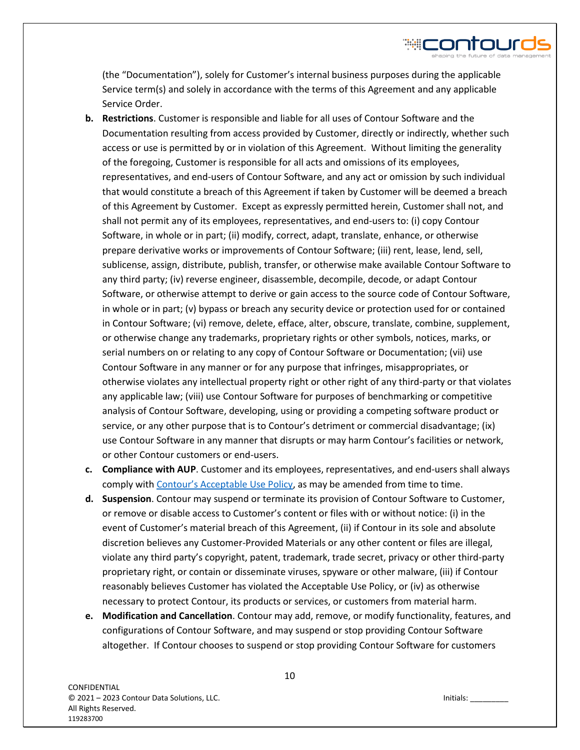(the "Documentation"), solely for Customer's internal business purposes during the applicable Service term(s) and solely in accordance with the terms of this Agreement and any applicable Service Order.

- **b. Restrictions**. Customer is responsible and liable for all uses of Contour Software and the Documentation resulting from access provided by Customer, directly or indirectly, whether such access or use is permitted by or in violation of this Agreement. Without limiting the generality of the foregoing, Customer is responsible for all acts and omissions of its employees, representatives, and end-users of Contour Software, and any act or omission by such individual that would constitute a breach of this Agreement if taken by Customer will be deemed a breach of this Agreement by Customer. Except as expressly permitted herein, Customer shall not, and shall not permit any of its employees, representatives, and end-users to: (i) copy Contour Software, in whole or in part; (ii) modify, correct, adapt, translate, enhance, or otherwise prepare derivative works or improvements of Contour Software; (iii) rent, lease, lend, sell, sublicense, assign, distribute, publish, transfer, or otherwise make available Contour Software to any third party; (iv) reverse engineer, disassemble, decompile, decode, or adapt Contour Software, or otherwise attempt to derive or gain access to the source code of Contour Software, in whole or in part; (v) bypass or breach any security device or protection used for or contained in Contour Software; (vi) remove, delete, efface, alter, obscure, translate, combine, supplement, or otherwise change any trademarks, proprietary rights or other symbols, notices, marks, or serial numbers on or relating to any copy of Contour Software or Documentation; (vii) use Contour Software in any manner or for any purpose that infringes, misappropriates, or otherwise violates any intellectual property right or other right of any third-party or that violates any applicable law; (viii) use Contour Software for purposes of benchmarking or competitive analysis of Contour Software, developing, using or providing a competing software product or service, or any other purpose that is to Contour's detriment or commercial disadvantage; (ix) use Contour Software in any manner that disrupts or may harm Contour's facilities or network, or other Contour customers or end-users.
- **c. Compliance with AUP**. Customer and its employees, representatives, and end-users shall always comply with [Contour's Acceptable Use Policy](https://www.contourds.com/wp-content/uploads/2018/05/acceptable_use_policy.pdf), as may be amended from time to time.
- **d. Suspension**. Contour may suspend or terminate its provision of Contour Software to Customer, or remove or disable access to Customer's content or files with or without notice: (i) in the event of Customer's material breach of this Agreement, (ii) if Contour in its sole and absolute discretion believes any Customer-Provided Materials or any other content or files are illegal, violate any third party's copyright, patent, trademark, trade secret, privacy or other third-party proprietary right, or contain or disseminate viruses, spyware or other malware, (iii) if Contour reasonably believes Customer has violated the Acceptable Use Policy, or (iv) as otherwise necessary to protect Contour, its products or services, or customers from material harm.
- **e. Modification and Cancellation**. Contour may add, remove, or modify functionality, features, and configurations of Contour Software, and may suspend or stop providing Contour Software altogether. If Contour chooses to suspend or stop providing Contour Software for customers

HICONTOUR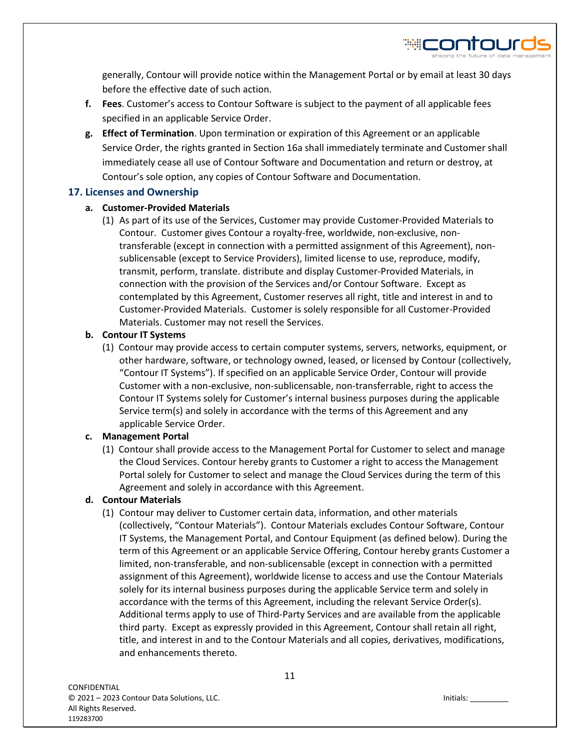

- **f. Fees**. Customer's access to Contour Software is subject to the payment of all applicable fees specified in an applicable Service Order.
- **g. Effect of Termination**. Upon termination or expiration of this Agreement or an applicable Service Order, the rights granted in Section 16a shall immediately terminate and Customer shall immediately cease all use of Contour Software and Documentation and return or destroy, at Contour's sole option, any copies of Contour Software and Documentation.

# **17. Licenses and Ownership**

# **a. Customer-Provided Materials**

(1) As part of its use of the Services, Customer may provide Customer-Provided Materials to Contour. Customer gives Contour a royalty-free, worldwide, non-exclusive, nontransferable (except in connection with a permitted assignment of this Agreement), nonsublicensable (except to Service Providers), limited license to use, reproduce, modify, transmit, perform, translate. distribute and display Customer-Provided Materials, in connection with the provision of the Services and/or Contour Software. Except as contemplated by this Agreement, Customer reserves all right, title and interest in and to Customer-Provided Materials. Customer is solely responsible for all Customer-Provided Materials. Customer may not resell the Services.

# **b. Contour IT Systems**

(1) Contour may provide access to certain computer systems, servers, networks, equipment, or other hardware, software, or technology owned, leased, or licensed by Contour (collectively, "Contour IT Systems"). If specified on an applicable Service Order, Contour will provide Customer with a non-exclusive, non-sublicensable, non-transferrable, right to access the Contour IT Systems solely for Customer's internal business purposes during the applicable Service term(s) and solely in accordance with the terms of this Agreement and any applicable Service Order.

# **c. Management Portal**

(1) Contour shall provide access to the Management Portal for Customer to select and manage the Cloud Services. Contour hereby grants to Customer a right to access the Management Portal solely for Customer to select and manage the Cloud Services during the term of this Agreement and solely in accordance with this Agreement.

# **d. Contour Materials**

(1) Contour may deliver to Customer certain data, information, and other materials (collectively, "Contour Materials"). Contour Materials excludes Contour Software, Contour IT Systems, the Management Portal, and Contour Equipment (as defined below). During the term of this Agreement or an applicable Service Offering, Contour hereby grants Customer a limited, non-transferable, and non-sublicensable (except in connection with a permitted assignment of this Agreement), worldwide license to access and use the Contour Materials solely for its internal business purposes during the applicable Service term and solely in accordance with the terms of this Agreement, including the relevant Service Order(s). Additional terms apply to use of Third-Party Services and are available from the applicable third party. Except as expressly provided in this Agreement, Contour shall retain all right, title, and interest in and to the Contour Materials and all copies, derivatives, modifications, and enhancements thereto.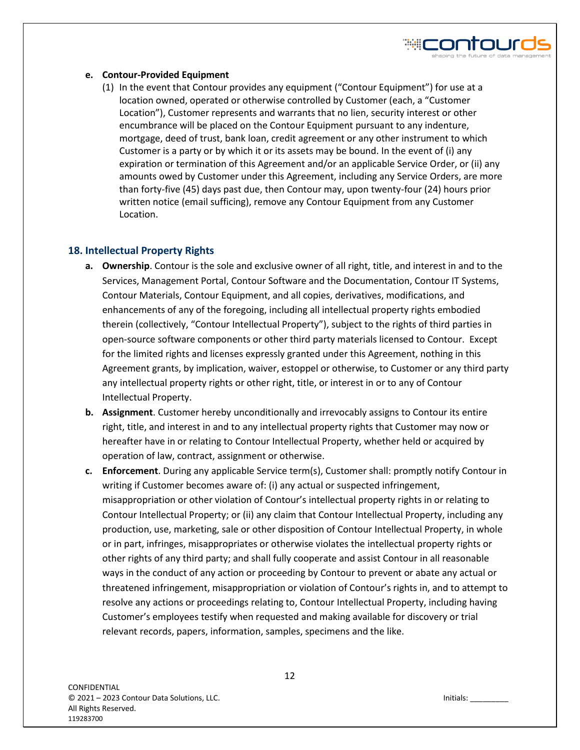#### **e. Contour-Provided Equipment**

(1) In the event that Contour provides any equipment ("Contour Equipment") for use at a location owned, operated or otherwise controlled by Customer (each, a "Customer Location"), Customer represents and warrants that no lien, security interest or other encumbrance will be placed on the Contour Equipment pursuant to any indenture, mortgage, deed of trust, bank loan, credit agreement or any other instrument to which Customer is a party or by which it or its assets may be bound. In the event of (i) any expiration or termination of this Agreement and/or an applicable Service Order, or (ii) any amounts owed by Customer under this Agreement, including any Service Orders, are more than forty-five (45) days past due, then Contour may, upon twenty-four (24) hours prior written notice (email sufficing), remove any Contour Equipment from any Customer Location.

# **18. Intellectual Property Rights**

- **a. Ownership**. Contour is the sole and exclusive owner of all right, title, and interest in and to the Services, Management Portal, Contour Software and the Documentation, Contour IT Systems, Contour Materials, Contour Equipment, and all copies, derivatives, modifications, and enhancements of any of the foregoing, including all intellectual property rights embodied therein (collectively, "Contour Intellectual Property"), subject to the rights of third parties in open-source software components or other third party materials licensed to Contour. Except for the limited rights and licenses expressly granted under this Agreement, nothing in this Agreement grants, by implication, waiver, estoppel or otherwise, to Customer or any third party any intellectual property rights or other right, title, or interest in or to any of Contour Intellectual Property.
- **b. Assignment**. Customer hereby unconditionally and irrevocably assigns to Contour its entire right, title, and interest in and to any intellectual property rights that Customer may now or hereafter have in or relating to Contour Intellectual Property, whether held or acquired by operation of law, contract, assignment or otherwise.
- **c. Enforcement**. During any applicable Service term(s), Customer shall: promptly notify Contour in writing if Customer becomes aware of: (i) any actual or suspected infringement, misappropriation or other violation of Contour's intellectual property rights in or relating to Contour Intellectual Property; or (ii) any claim that Contour Intellectual Property, including any production, use, marketing, sale or other disposition of Contour Intellectual Property, in whole or in part, infringes, misappropriates or otherwise violates the intellectual property rights or other rights of any third party; and shall fully cooperate and assist Contour in all reasonable ways in the conduct of any action or proceeding by Contour to prevent or abate any actual or threatened infringement, misappropriation or violation of Contour's rights in, and to attempt to resolve any actions or proceedings relating to, Contour Intellectual Property, including having Customer's employees testify when requested and making available for discovery or trial relevant records, papers, information, samples, specimens and the like.

₩ŒONTOUſ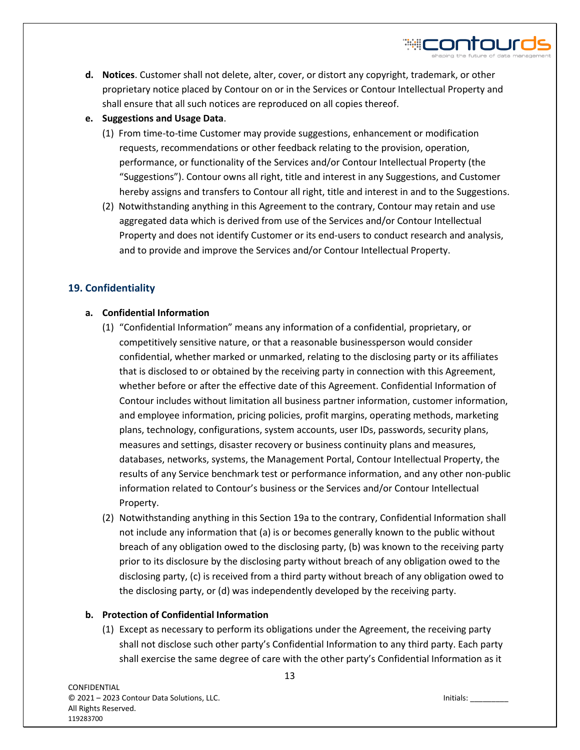

- **d. Notices**. Customer shall not delete, alter, cover, or distort any copyright, trademark, or other proprietary notice placed by Contour on or in the Services or Contour Intellectual Property and shall ensure that all such notices are reproduced on all copies thereof.
- **e. Suggestions and Usage Data**.
	- (1) From time-to-time Customer may provide suggestions, enhancement or modification requests, recommendations or other feedback relating to the provision, operation, performance, or functionality of the Services and/or Contour Intellectual Property (the "Suggestions"). Contour owns all right, title and interest in any Suggestions, and Customer hereby assigns and transfers to Contour all right, title and interest in and to the Suggestions.
	- (2) Notwithstanding anything in this Agreement to the contrary, Contour may retain and use aggregated data which is derived from use of the Services and/or Contour Intellectual Property and does not identify Customer or its end-users to conduct research and analysis, and to provide and improve the Services and/or Contour Intellectual Property.

# **19. Confidentiality**

# **a. Confidential Information**

- (1) "Confidential Information" means any information of a confidential, proprietary, or competitively sensitive nature, or that a reasonable businessperson would consider confidential, whether marked or unmarked, relating to the disclosing party or its affiliates that is disclosed to or obtained by the receiving party in connection with this Agreement, whether before or after the effective date of this Agreement. Confidential Information of Contour includes without limitation all business partner information, customer information, and employee information, pricing policies, profit margins, operating methods, marketing plans, technology, configurations, system accounts, user IDs, passwords, security plans, measures and settings, disaster recovery or business continuity plans and measures, databases, networks, systems, the Management Portal, Contour Intellectual Property, the results of any Service benchmark test or performance information, and any other non-public information related to Contour's business or the Services and/or Contour Intellectual Property.
- (2) Notwithstanding anything in this Section 19a to the contrary, Confidential Information shall not include any information that (a) is or becomes generally known to the public without breach of any obligation owed to the disclosing party, (b) was known to the receiving party prior to its disclosure by the disclosing party without breach of any obligation owed to the disclosing party, (c) is received from a third party without breach of any obligation owed to the disclosing party, or (d) was independently developed by the receiving party.

# **b. Protection of Confidential Information**

(1) Except as necessary to perform its obligations under the Agreement, the receiving party shall not disclose such other party's Confidential Information to any third party. Each party shall exercise the same degree of care with the other party's Confidential Information as it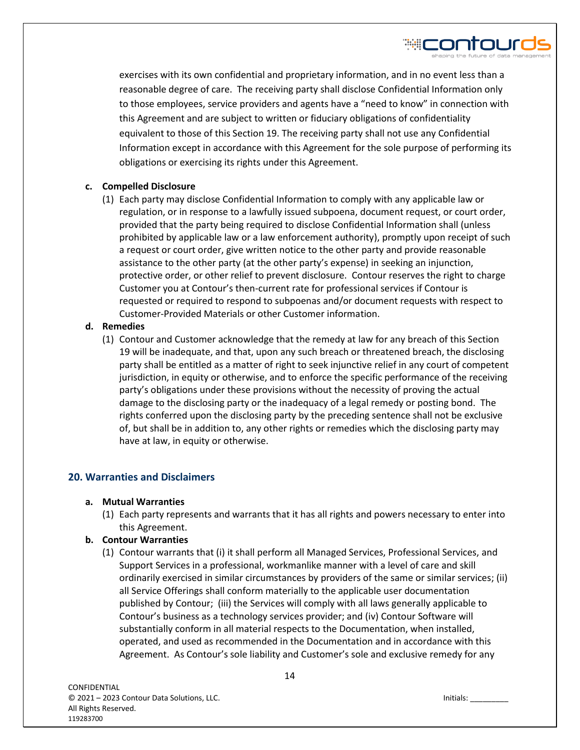

# **c. Compelled Disclosure**

(1) Each party may disclose Confidential Information to comply with any applicable law or regulation, or in response to a lawfully issued subpoena, document request, or court order, provided that the party being required to disclose Confidential Information shall (unless prohibited by applicable law or a law enforcement authority), promptly upon receipt of such a request or court order, give written notice to the other party and provide reasonable assistance to the other party (at the other party's expense) in seeking an injunction, protective order, or other relief to prevent disclosure. Contour reserves the right to charge Customer you at Contour's then-current rate for professional services if Contour is requested or required to respond to subpoenas and/or document requests with respect to Customer-Provided Materials or other Customer information.

# **d. Remedies**

(1) Contour and Customer acknowledge that the remedy at law for any breach of this Section 19 will be inadequate, and that, upon any such breach or threatened breach, the disclosing party shall be entitled as a matter of right to seek injunctive relief in any court of competent jurisdiction, in equity or otherwise, and to enforce the specific performance of the receiving party's obligations under these provisions without the necessity of proving the actual damage to the disclosing party or the inadequacy of a legal remedy or posting bond. The rights conferred upon the disclosing party by the preceding sentence shall not be exclusive of, but shall be in addition to, any other rights or remedies which the disclosing party may have at law, in equity or otherwise.

# **20. Warranties and Disclaimers**

- **a. Mutual Warranties**
	- (1) Each party represents and warrants that it has all rights and powers necessary to enter into this Agreement.

# **b. Contour Warranties**

(1) Contour warrants that (i) it shall perform all Managed Services, Professional Services, and Support Services in a professional, workmanlike manner with a level of care and skill ordinarily exercised in similar circumstances by providers of the same or similar services; (ii) all Service Offerings shall conform materially to the applicable user documentation published by Contour; (iii) the Services will comply with all laws generally applicable to Contour's business as a technology services provider; and (iv) Contour Software will substantially conform in all material respects to the Documentation, when installed, operated, and used as recommended in the Documentation and in accordance with this Agreement. As Contour's sole liability and Customer's sole and exclusive remedy for any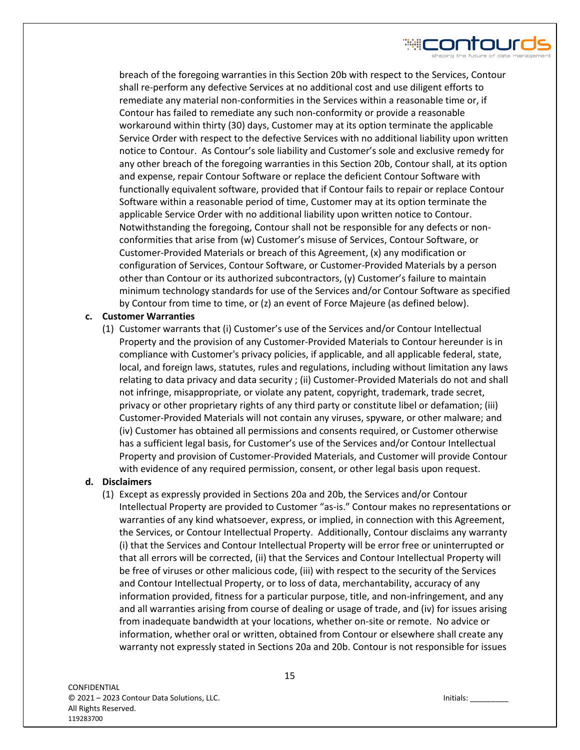

breach of the foregoing warranties in this Section 20b with respect to the Services, Contour shall re-perform any defective Services at no additional cost and use diligent efforts to remediate any material non-conformities in the Services within a reasonable time or, if Contour has failed to remediate any such non-conformity or provide a reasonable workaround within thirty (30) days, Customer may at its option terminate the applicable Service Order with respect to the defective Services with no additional liability upon written notice to Contour. As Contour's sole liability and Customer's sole and exclusive remedy for any other breach of the foregoing warranties in this Section 20b, Contour shall, at its option and expense, repair Contour Software or replace the deficient Contour Software with functionally equivalent software, provided that if Contour fails to repair or replace Contour Software within a reasonable period of time, Customer may at its option terminate the applicable Service Order with no additional liability upon written notice to Contour. Notwithstanding the foregoing, Contour shall not be responsible for any defects or nonconformities that arise from (w) Customer's misuse of Services, Contour Software, or Customer-Provided Materials or breach of this Agreement, (x) any modification or configuration of Services, Contour Software, or Customer-Provided Materials by a person other than Contour or its authorized subcontractors, (y) Customer's failure to maintain minimum technology standards for use of the Services and/or Contour Software as specified by Contour from time to time, or (z) an event of Force Majeure (as defined below).

#### **c. Customer Warranties**

(1) Customer warrants that (i) Customer's use of the Services and/or Contour Intellectual Property and the provision of any Customer-Provided Materials to Contour hereunder is in compliance with Customer's privacy policies, if applicable, and all applicable federal, state, local, and foreign laws, statutes, rules and regulations, including without limitation any laws relating to data privacy and data security ; (ii) Customer-Provided Materials do not and shall not infringe, misappropriate, or violate any patent, copyright, trademark, trade secret, privacy or other proprietary rights of any third party or constitute libel or defamation; (iii) Customer-Provided Materials will not contain any viruses, spyware, or other malware; and (iv) Customer has obtained all permissions and consents required, or Customer otherwise has a sufficient legal basis, for Customer's use of the Services and/or Contour Intellectual Property and provision of Customer-Provided Materials, and Customer will provide Contour with evidence of any required permission, consent, or other legal basis upon request.

# **d. Disclaimers**

(1) Except as expressly provided in Sections 20a and 20b, the Services and/or Contour Intellectual Property are provided to Customer "as-is." Contour makes no representations or warranties of any kind whatsoever, express, or implied, in connection with this Agreement, the Services, or Contour Intellectual Property. Additionally, Contour disclaims any warranty (i) that the Services and Contour Intellectual Property will be error free or uninterrupted or that all errors will be corrected, (ii) that the Services and Contour Intellectual Property will be free of viruses or other malicious code, (iii) with respect to the security of the Services and Contour Intellectual Property, or to loss of data, merchantability, accuracy of any information provided, fitness for a particular purpose, title, and non-infringement, and any and all warranties arising from course of dealing or usage of trade, and (iv) for issues arising from inadequate bandwidth at your locations, whether on-site or remote. No advice or information, whether oral or written, obtained from Contour or elsewhere shall create any warranty not expressly stated in Sections 20a and 20b. Contour is not responsible for issues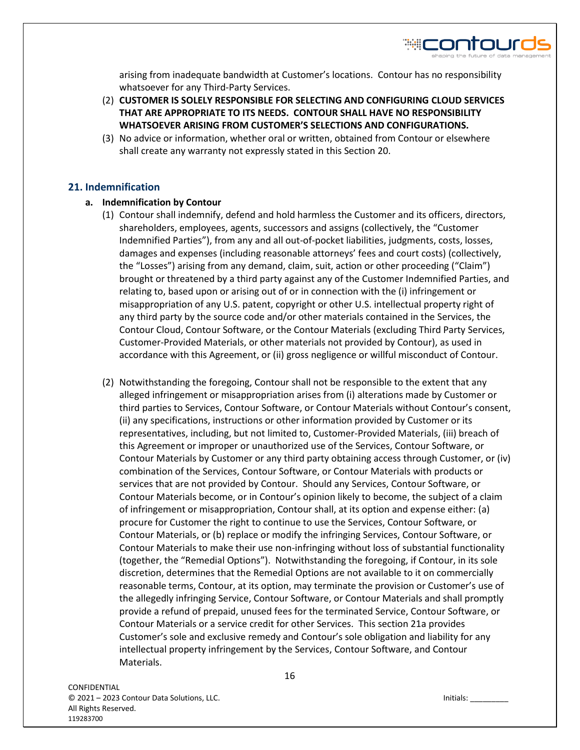

arising from inadequate bandwidth at Customer's locations. Contour has no responsibility whatsoever for any Third-Party Services.

- (2) **CUSTOMER IS SOLELY RESPONSIBLE FOR SELECTING AND CONFIGURING CLOUD SERVICES THAT ARE APPROPRIATE TO ITS NEEDS. CONTOUR SHALL HAVE NO RESPONSIBILITY WHATSOEVER ARISING FROM CUSTOMER'S SELECTIONS AND CONFIGURATIONS.**
- (3) No advice or information, whether oral or written, obtained from Contour or elsewhere shall create any warranty not expressly stated in this Section 20.

#### **21. Indemnification**

#### **a. Indemnification by Contour**

- (1) Contour shall indemnify, defend and hold harmless the Customer and its officers, directors, shareholders, employees, agents, successors and assigns (collectively, the "Customer Indemnified Parties"), from any and all out-of-pocket liabilities, judgments, costs, losses, damages and expenses (including reasonable attorneys' fees and court costs) (collectively, the "Losses") arising from any demand, claim, suit, action or other proceeding ("Claim") brought or threatened by a third party against any of the Customer Indemnified Parties, and relating to, based upon or arising out of or in connection with the (i) infringement or misappropriation of any U.S. patent, copyright or other U.S. intellectual property right of any third party by the source code and/or other materials contained in the Services, the Contour Cloud, Contour Software, or the Contour Materials (excluding Third Party Services, Customer-Provided Materials, or other materials not provided by Contour), as used in accordance with this Agreement, or (ii) gross negligence or willful misconduct of Contour.
- (2) Notwithstanding the foregoing, Contour shall not be responsible to the extent that any alleged infringement or misappropriation arises from (i) alterations made by Customer or third parties to Services, Contour Software, or Contour Materials without Contour's consent, (ii) any specifications, instructions or other information provided by Customer or its representatives, including, but not limited to, Customer-Provided Materials, (iii) breach of this Agreement or improper or unauthorized use of the Services, Contour Software, or Contour Materials by Customer or any third party obtaining access through Customer, or (iv) combination of the Services, Contour Software, or Contour Materials with products or services that are not provided by Contour. Should any Services, Contour Software, or Contour Materials become, or in Contour's opinion likely to become, the subject of a claim of infringement or misappropriation, Contour shall, at its option and expense either: (a) procure for Customer the right to continue to use the Services, Contour Software, or Contour Materials, or (b) replace or modify the infringing Services, Contour Software, or Contour Materials to make their use non-infringing without loss of substantial functionality (together, the "Remedial Options"). Notwithstanding the foregoing, if Contour, in its sole discretion, determines that the Remedial Options are not available to it on commercially reasonable terms, Contour, at its option, may terminate the provision or Customer's use of the allegedly infringing Service, Contour Software, or Contour Materials and shall promptly provide a refund of prepaid, unused fees for the terminated Service, Contour Software, or Contour Materials or a service credit for other Services. This section 21a provides Customer's sole and exclusive remedy and Contour's sole obligation and liability for any intellectual property infringement by the Services, Contour Software, and Contour Materials.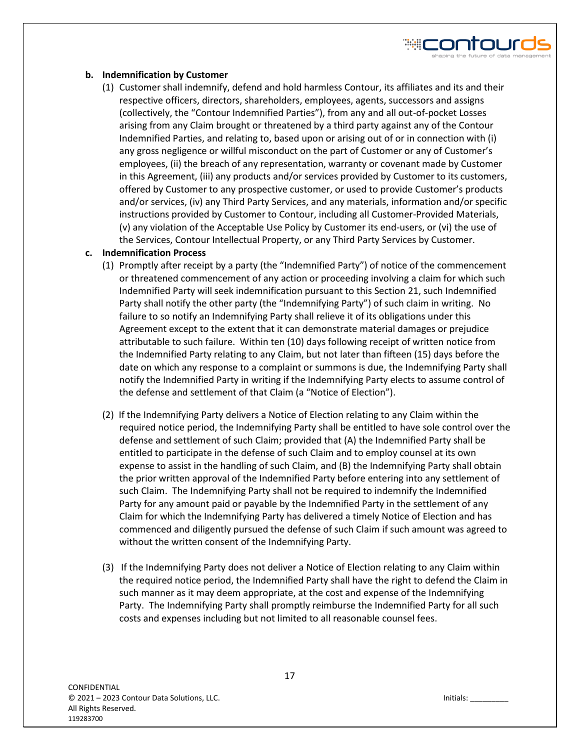#### **b. Indemnification by Customer**

(1) Customer shall indemnify, defend and hold harmless Contour, its affiliates and its and their respective officers, directors, shareholders, employees, agents, successors and assigns (collectively, the "Contour Indemnified Parties"), from any and all out-of-pocket Losses arising from any Claim brought or threatened by a third party against any of the Contour Indemnified Parties, and relating to, based upon or arising out of or in connection with (i) any gross negligence or willful misconduct on the part of Customer or any of Customer's employees, (ii) the breach of any representation, warranty or covenant made by Customer in this Agreement, (iii) any products and/or services provided by Customer to its customers, offered by Customer to any prospective customer, or used to provide Customer's products and/or services, (iv) any Third Party Services, and any materials, information and/or specific instructions provided by Customer to Contour, including all Customer-Provided Materials, (v) any violation of the Acceptable Use Policy by Customer its end-users, or (vi) the use of the Services, Contour Intellectual Property, or any Third Party Services by Customer.

#### **c. Indemnification Process**

- (1) Promptly after receipt by a party (the "Indemnified Party") of notice of the commencement or threatened commencement of any action or proceeding involving a claim for which such Indemnified Party will seek indemnification pursuant to this Section 21, such Indemnified Party shall notify the other party (the "Indemnifying Party") of such claim in writing. No failure to so notify an Indemnifying Party shall relieve it of its obligations under this Agreement except to the extent that it can demonstrate material damages or prejudice attributable to such failure. Within ten (10) days following receipt of written notice from the Indemnified Party relating to any Claim, but not later than fifteen (15) days before the date on which any response to a complaint or summons is due, the Indemnifying Party shall notify the Indemnified Party in writing if the Indemnifying Party elects to assume control of the defense and settlement of that Claim (a "Notice of Election").
- (2) If the Indemnifying Party delivers a Notice of Election relating to any Claim within the required notice period, the Indemnifying Party shall be entitled to have sole control over the defense and settlement of such Claim; provided that (A) the Indemnified Party shall be entitled to participate in the defense of such Claim and to employ counsel at its own expense to assist in the handling of such Claim, and (B) the Indemnifying Party shall obtain the prior written approval of the Indemnified Party before entering into any settlement of such Claim. The Indemnifying Party shall not be required to indemnify the Indemnified Party for any amount paid or payable by the Indemnified Party in the settlement of any Claim for which the Indemnifying Party has delivered a timely Notice of Election and has commenced and diligently pursued the defense of such Claim if such amount was agreed to without the written consent of the Indemnifying Party.
- (3) If the Indemnifying Party does not deliver a Notice of Election relating to any Claim within the required notice period, the Indemnified Party shall have the right to defend the Claim in such manner as it may deem appropriate, at the cost and expense of the Indemnifying Party. The Indemnifying Party shall promptly reimburse the Indemnified Party for all such costs and expenses including but not limited to all reasonable counsel fees.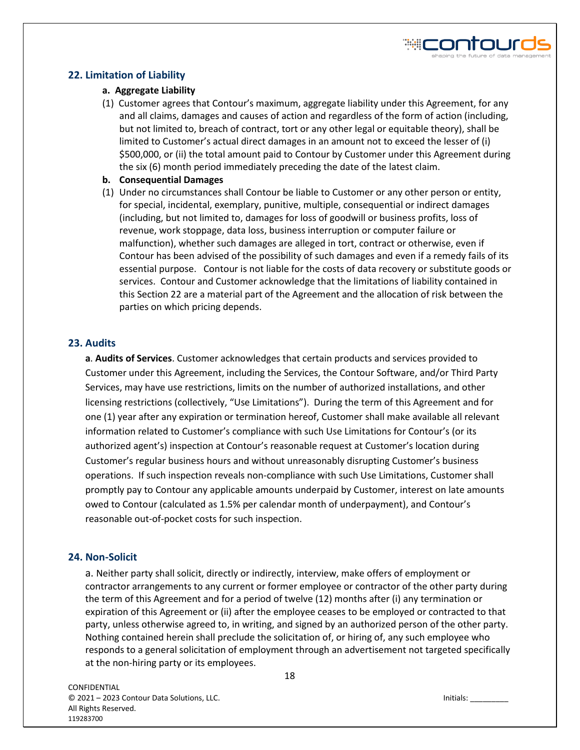# **22. Limitation of Liability**

#### **a. Aggregate Liability**

(1) Customer agrees that Contour's maximum, aggregate liability under this Agreement, for any and all claims, damages and causes of action and regardless of the form of action (including, but not limited to, breach of contract, tort or any other legal or equitable theory), shall be limited to Customer's actual direct damages in an amount not to exceed the lesser of (i) \$500,000, or (ii) the total amount paid to Contour by Customer under this Agreement during the six (6) month period immediately preceding the date of the latest claim.

#### **b. Consequential Damages**

(1) Under no circumstances shall Contour be liable to Customer or any other person or entity, for special, incidental, exemplary, punitive, multiple, consequential or indirect damages (including, but not limited to, damages for loss of goodwill or business profits, loss of revenue, work stoppage, data loss, business interruption or computer failure or malfunction), whether such damages are alleged in tort, contract or otherwise, even if Contour has been advised of the possibility of such damages and even if a remedy fails of its essential purpose. Contour is not liable for the costs of data recovery or substitute goods or services. Contour and Customer acknowledge that the limitations of liability contained in this Section 22 are a material part of the Agreement and the allocation of risk between the parties on which pricing depends.

# **23. Audits**

**a**. **Audits of Services**. Customer acknowledges that certain products and services provided to Customer under this Agreement, including the Services, the Contour Software, and/or Third Party Services, may have use restrictions, limits on the number of authorized installations, and other licensing restrictions (collectively, "Use Limitations"). During the term of this Agreement and for one (1) year after any expiration or termination hereof, Customer shall make available all relevant information related to Customer's compliance with such Use Limitations for Contour's (or its authorized agent's) inspection at Contour's reasonable request at Customer's location during Customer's regular business hours and without unreasonably disrupting Customer's business operations. If such inspection reveals non-compliance with such Use Limitations, Customer shall promptly pay to Contour any applicable amounts underpaid by Customer, interest on late amounts owed to Contour (calculated as 1.5% per calendar month of underpayment), and Contour's reasonable out-of-pocket costs for such inspection.

#### **24. Non-Solicit**

a. Neither party shall solicit, directly or indirectly, interview, make offers of employment or contractor arrangements to any current or former employee or contractor of the other party during the term of this Agreement and for a period of twelve (12) months after (i) any termination or expiration of this Agreement or (ii) after the employee ceases to be employed or contracted to that party, unless otherwise agreed to, in writing, and signed by an authorized person of the other party. Nothing contained herein shall preclude the solicitation of, or hiring of, any such employee who responds to a general solicitation of employment through an advertisement not targeted specifically at the non-hiring party or its employees.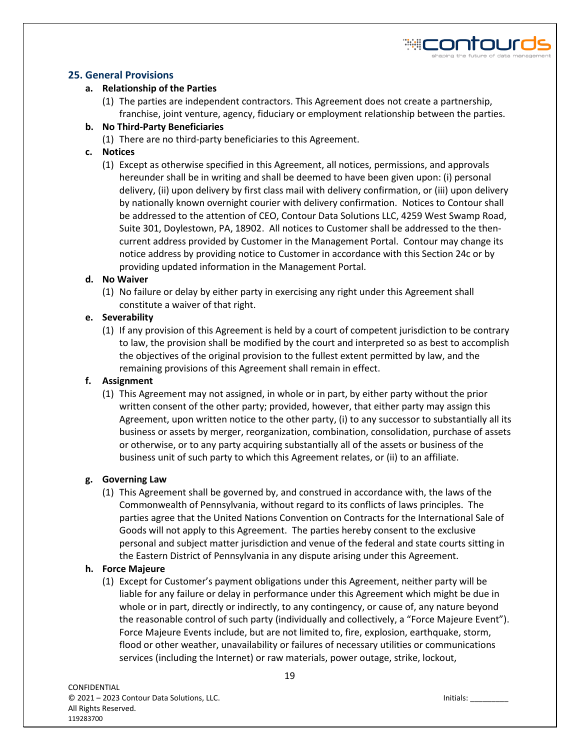# **25. General Provisions**

# **a. Relationship of the Parties**

(1) The parties are independent contractors. This Agreement does not create a partnership, franchise, joint venture, agency, fiduciary or employment relationship between the parties.

# **b. No Third-Party Beneficiaries**

(1) There are no third-party beneficiaries to this Agreement.

# **c. Notices**

(1) Except as otherwise specified in this Agreement, all notices, permissions, and approvals hereunder shall be in writing and shall be deemed to have been given upon: (i) personal delivery, (ii) upon delivery by first class mail with delivery confirmation, or (iii) upon delivery by nationally known overnight courier with delivery confirmation. Notices to Contour shall be addressed to the attention of CEO, Contour Data Solutions LLC, 4259 West Swamp Road, Suite 301, Doylestown, PA, 18902. All notices to Customer shall be addressed to the thencurrent address provided by Customer in the Management Portal. Contour may change its notice address by providing notice to Customer in accordance with this Section 24c or by providing updated information in the Management Portal.

# **d. No Waiver**

(1) No failure or delay by either party in exercising any right under this Agreement shall constitute a waiver of that right.

# **e. Severability**

(1) If any provision of this Agreement is held by a court of competent jurisdiction to be contrary to law, the provision shall be modified by the court and interpreted so as best to accomplish the objectives of the original provision to the fullest extent permitted by law, and the remaining provisions of this Agreement shall remain in effect.

# **f. Assignment**

(1) This Agreement may not assigned, in whole or in part, by either party without the prior written consent of the other party; provided, however, that either party may assign this Agreement, upon written notice to the other party, (i) to any successor to substantially all its business or assets by merger, reorganization, combination, consolidation, purchase of assets or otherwise, or to any party acquiring substantially all of the assets or business of the business unit of such party to which this Agreement relates, or (ii) to an affiliate.

# **g. Governing Law**

(1) This Agreement shall be governed by, and construed in accordance with, the laws of the Commonwealth of Pennsylvania, without regard to its conflicts of laws principles. The parties agree that the United Nations Convention on Contracts for the International Sale of Goods will not apply to this Agreement. The parties hereby consent to the exclusive personal and subject matter jurisdiction and venue of the federal and state courts sitting in the Eastern District of Pennsylvania in any dispute arising under this Agreement.

# **h. Force Majeure**

(1) Except for Customer's payment obligations under this Agreement, neither party will be liable for any failure or delay in performance under this Agreement which might be due in whole or in part, directly or indirectly, to any contingency, or cause of, any nature beyond the reasonable control of such party (individually and collectively, a "Force Majeure Event"). Force Majeure Events include, but are not limited to, fire, explosion, earthquake, storm, flood or other weather, unavailability or failures of necessary utilities or communications services (including the Internet) or raw materials, power outage, strike, lockout,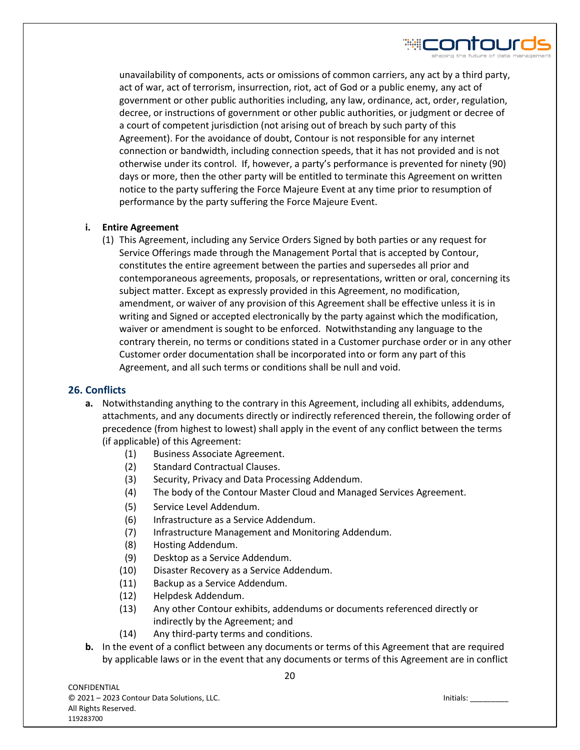

unavailability of components, acts or omissions of common carriers, any act by a third party, act of war, act of terrorism, insurrection, riot, act of God or a public enemy, any act of government or other public authorities including, any law, ordinance, act, order, regulation, decree, or instructions of government or other public authorities, or judgment or decree of a court of competent jurisdiction (not arising out of breach by such party of this Agreement). For the avoidance of doubt, Contour is not responsible for any internet connection or bandwidth, including connection speeds, that it has not provided and is not otherwise under its control. If, however, a party's performance is prevented for ninety (90) days or more, then the other party will be entitled to terminate this Agreement on written notice to the party suffering the Force Majeure Event at any time prior to resumption of performance by the party suffering the Force Majeure Event.

# **i. Entire Agreement**

(1) This Agreement, including any Service Orders Signed by both parties or any request for Service Offerings made through the Management Portal that is accepted by Contour, constitutes the entire agreement between the parties and supersedes all prior and contemporaneous agreements, proposals, or representations, written or oral, concerning its subject matter. Except as expressly provided in this Agreement, no modification, amendment, or waiver of any provision of this Agreement shall be effective unless it is in writing and Signed or accepted electronically by the party against which the modification, waiver or amendment is sought to be enforced. Notwithstanding any language to the contrary therein, no terms or conditions stated in a Customer purchase order or in any other Customer order documentation shall be incorporated into or form any part of this Agreement, and all such terms or conditions shall be null and void.

# **26. Conflicts**

- **a.** Notwithstanding anything to the contrary in this Agreement, including all exhibits, addendums, attachments, and any documents directly or indirectly referenced therein, the following order of precedence (from highest to lowest) shall apply in the event of any conflict between the terms (if applicable) of this Agreement:
	- (1) Business Associate Agreement.
	- (2) Standard Contractual Clauses.
	- (3) Security, Privacy and Data Processing Addendum.
	- (4) The body of the Contour Master Cloud and Managed Services Agreement.
	- (5) Service Level Addendum.
	- (6) Infrastructure as a Service Addendum.
	- (7) Infrastructure Management and Monitoring Addendum.
	- (8) Hosting Addendum.
	- (9) Desktop as a Service Addendum.
	- (10) Disaster Recovery as a Service Addendum.
	- (11) Backup as a Service Addendum.
	- (12) Helpdesk Addendum.
	- (13) Any other Contour exhibits, addendums or documents referenced directly or indirectly by the Agreement; and
	- (14) Any third-party terms and conditions.
- **b.** In the event of a conflict between any documents or terms of this Agreement that are required by applicable laws or in the event that any documents or terms of this Agreement are in conflict